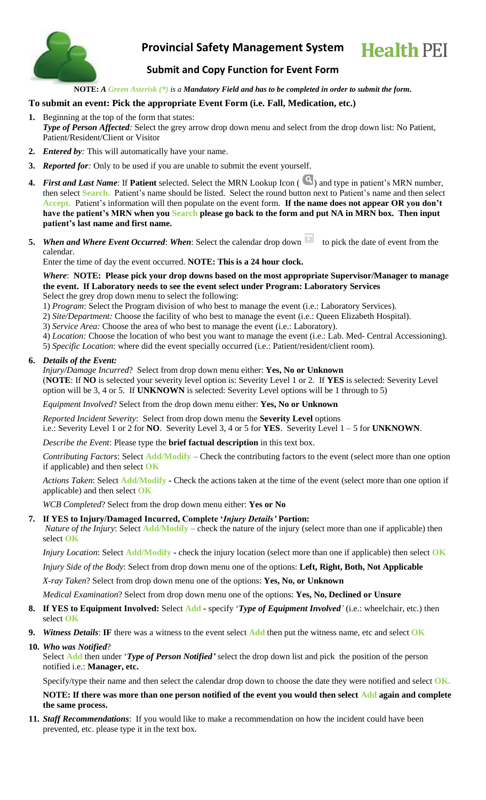

# **Provincial Safety Management System**



## **Submit and Copy Function for Event Form**

**NOTE:** *A Green Asterisk (\*) is a Mandatory Field and has to be completed in order to submit the form.*

### **To submit an event: Pick the appropriate Event Form (i.e. Fall, Medication, etc.)**

- **1.** Beginning at the top of the form that states: *Type of Person Affected:* Select the grey arrow drop down menu and select from the drop down list: No Patient, Patient/Resident/Client or Visitor
- **2.** *Entered by:* This will automatically have your name.
- **3.** *Reported for:* Only to be used if you are unable to submit the event yourself.
- **4.** *First and Last Name*: If **Patient** selected. Select the MRN Lookup Icon ( ) and type in patient's MRN number, then select **Search.** Patient's name should be listed. Select the round button next to Patient's name and then select **Accept.** Patient's information will then populate on the event form. **If the name does not appear OR you don't have the patient's MRN when you Search please go back to the form and put NA in MRN box. Then input patient's last name and first name.**
- **5.** *When and Where Event Occurred: When: Select the calendar drop down* to pick the date of event from the calendar.

Enter the time of day the event occurred. **NOTE: This is a 24 hour clock.**

*Where*: **NOTE: Please pick your drop downs based on the most appropriate Supervisor/Manager to manage the event. If Laboratory needs to see the event select under Program: Laboratory Services** Select the grey drop down menu to select the following:

1) *Program*: Select the Program division of who best to manage the event (i.e.: Laboratory Services).

- 2) *Site/Department:* Choose the facility of who best to manage the event (i.e.: Queen Elizabeth Hospital).
- 3) *Service Area:* Choose the area of who best to manage the event (i.e.: Laboratory).
- 4) *Location:* Choose the location of who best you want to manage the event (i.e.: Lab. Med- Central Accessioning).
- 5) *Specific Location*: where did the event specially occurred (i.e.: Patient/resident/client room).

#### **6.** *Details of the Event:*

*Injury/Damage Incurred*? Select from drop down menu either: **Yes, No or Unknown**

(**NOTE**: If **NO** is selected your severity level option is: Severity Level 1 or 2. If **YES** is selected: Severity Level option will be 3, 4 or 5. If **UNKNOWN** is selected: Severity Level options will be 1 through to 5)

#### *Equipment Involved*? Select from the drop down menu either: **Yes, No or Unknown**

*Reported Incident Severity*: Select from drop down menu the **Severity Level** options i.e.: Severity Level 1 or 2 for **NO**. Severity Level 3, 4 or 5 for **YES**. Severity Level 1 – 5 for **UNKNOWN**.

*Describe the Event*: Please type the **brief factual description** in this text box.

*Contributing Factors*: Select **Add/Modify** – Check the contributing factors to the event (select more than one option if applicable) and then select **OK**

*Actions Taken*: Select **Add/Modify -** Check the actions taken at the time of the event (select more than one option if applicable) and then select **OK**

*WCB Completed*? Select from the drop down menu either: **Yes or No**

#### **7. If YES to Injury/Damaged Incurred, Complete '***Injury Details'* **Portion:**

*Nature of the Injury*: Select **Add/Modify** – check the nature of the injury (select more than one if applicable) then select **OK**

*Injury Location*: Select **Add/Modify -** check the injury location (select more than one if applicable) then select **OK**

*Injury Side of the Body*: Select from drop down menu one of the options: **Left, Right, Both, Not Applicable**

*X-ray Taken*? Select from drop down menu one of the options: **Yes, No, or Unknown**

*Medical Examination*? Select from drop down menu one of the options: **Yes, No, Declined or Unsure**

- **8. If YES to Equipment Involved:** Select **Add -** specify '*Type of Equipment Involved'* (i.e.: wheelchair, etc.) then select **OK**
- **9.** *Witness Details*: **IF** there was a witness to the event select **Add** then put the witness name, etc and select **OK**

## **10.** *Who was Notified*?

Select **Add** then under '*Type of Person Notified'* select the drop down list and pick the position of the person notified i.e.: **Manager, etc.**

Specify/type their name and then select the calendar drop down to choose the date they were notified and select **OK.**

### **NOTE: If there was more than one person notified of the event you would then select Add again and complete the same process.**

**11.** *Staff Recommendations*: If you would like to make a recommendation on how the incident could have been prevented, etc. please type it in the text box.